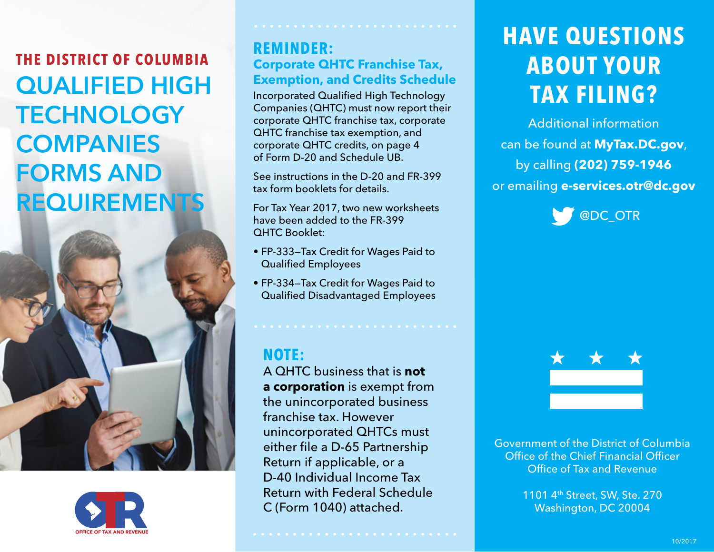**THE DISTRICT OF COLUMBIA** QUALIFIED HIGH **TECHNOLOGY COMPANIES** FORMS AND **REQUIREMENTS** 





### **REMINDER: Corporate QHTC Franchise Tax, Exemption, and Credits Schedule**

Incorporated Qualified High Technology Companies (QHTC) must now report their corporate QHTC franchise tax, corporate QHTC franchise tax exemption, and corporate QHTC credits, on page 4 of Form D-20 and Schedule UB.

See instructions in the D-20 and FR-399 tax form booklets for details.

For Tax Year 2017, two new worksheets have been added to the FR-399 QHTC Booklet:

- FP-333—Tax Credit for Wages Paid to Qualified Employees
- FP-334—Tax Credit for Wages Paid to Qualified Disadvantaged Employees

## **NOTE:**

A QHTC business that is **not a corporation** is exempt from the unincorporated business franchise tax. However unincorporated QHTCs must either file a D-65 Partnership Return if applicable, or a D-40 Individual Income Tax Return with Federal Schedule C (Form 1040) attached.

# **HAVE QUESTIONS ABOUT YOUR TAX FILING?**

Additional information can be found at **MyTax.DC.gov**, by calling **(202) 759-1946**  or emailing **e-services.otr@dc.gov** 





Government of the District of Columbia Office of the Chief Financial Officer Office of Tax and Revenue

> 1101 4th Street, SW, Ste. 270 Washington, DC 20004